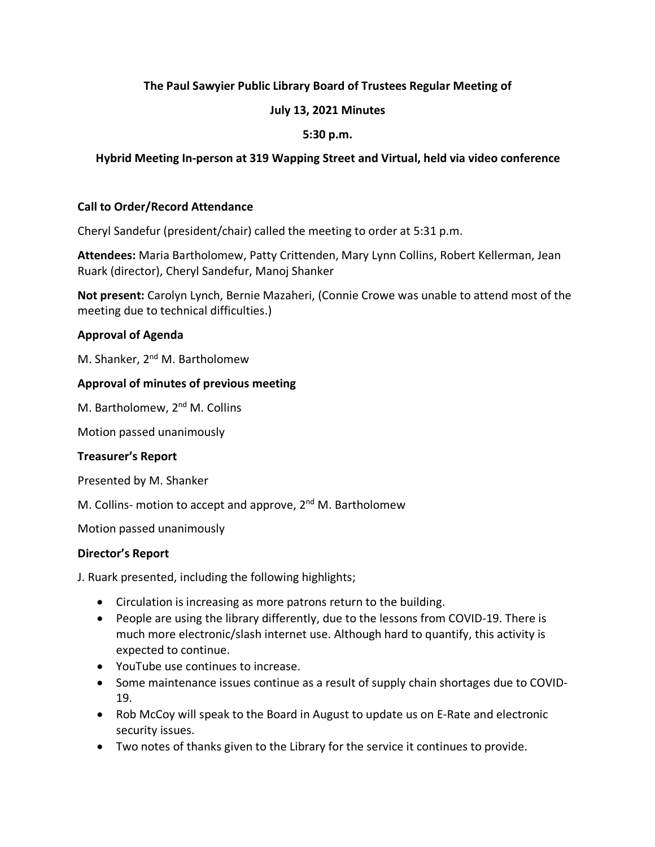# **The Paul Sawyier Public Library Board of Trustees Regular Meeting of**

# **July 13, 2021 Minutes**

# **5:30 p.m.**

# **Hybrid Meeting In-person at 319 Wapping Street and Virtual, held via video conference**

### **Call to Order/Record Attendance**

Cheryl Sandefur (president/chair) called the meeting to order at 5:31 p.m.

**Attendees:** Maria Bartholomew, Patty Crittenden, Mary Lynn Collins, Robert Kellerman, Jean Ruark (director), Cheryl Sandefur, Manoj Shanker

**Not present:** Carolyn Lynch, Bernie Mazaheri, (Connie Crowe was unable to attend most of the meeting due to technical difficulties.)

## **Approval of Agenda**

M. Shanker, 2<sup>nd</sup> M. Bartholomew

## **Approval of minutes of previous meeting**

M. Bartholomew, 2<sup>nd</sup> M. Collins

Motion passed unanimously

### **Treasurer's Report**

Presented by M. Shanker

M. Collins- motion to accept and approve,  $2<sup>nd</sup>$  M. Bartholomew

Motion passed unanimously

### **Director's Report**

J. Ruark presented, including the following highlights;

- Circulation is increasing as more patrons return to the building.
- People are using the library differently, due to the lessons from COVID-19. There is much more electronic/slash internet use. Although hard to quantify, this activity is expected to continue.
- YouTube use continues to increase.
- Some maintenance issues continue as a result of supply chain shortages due to COVID-19.
- Rob McCoy will speak to the Board in August to update us on E-Rate and electronic security issues.
- Two notes of thanks given to the Library for the service it continues to provide.